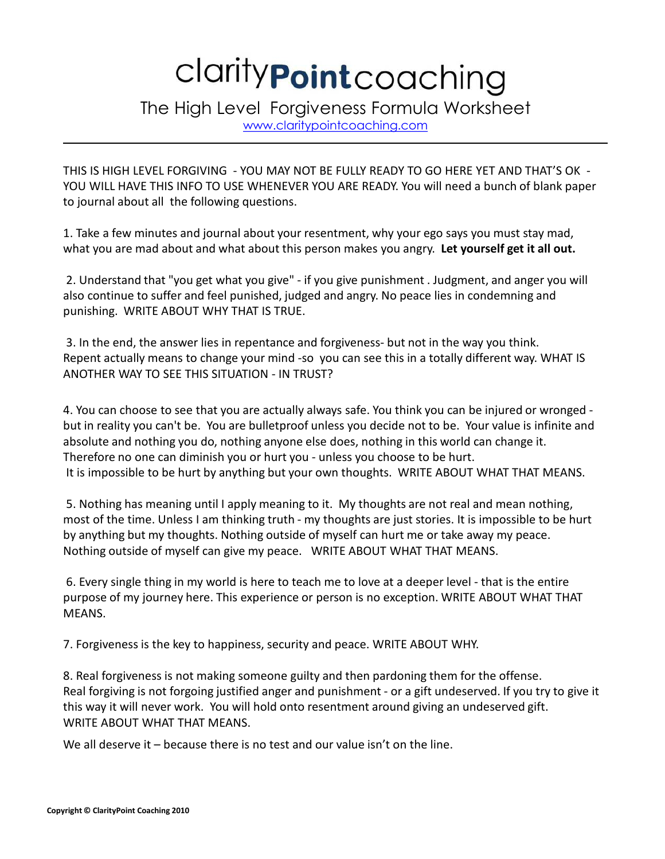## clarity **Point** coaching

The High Level Forgiveness Formula Worksheet

www.claritypointcoaching.com

THIS IS HIGH LEVEL FORGIVING - YOU MAY NOT BE FULLY READY TO GO HERE YET AND THAT'S OK - YOU WILL HAVE THIS INFO TO USE WHENEVER YOU ARE READY. You will need a bunch of blank paper to journal about all the following questions.

1. Take a few minutes and journal about your resentment, why your ego says you must stay mad, what you are mad about and what about this person makes you angry. **Let yourself get it all out.**

2. Understand that "you get what you give" - if you give punishment . Judgment, and anger you will also continue to suffer and feel punished, judged and angry. No peace lies in condemning and punishing. WRITE ABOUT WHY THAT IS TRUE.

3. In the end, the answer lies in repentance and forgiveness- but not in the way you think. Repent actually means to change your mind -so you can see this in a totally different way. WHAT IS ANOTHER WAY TO SEE THIS SITUATION - IN TRUST?

4. You can choose to see that you are actually always safe. You think you can be injured or wronged but in reality you can't be. You are bulletproof unless you decide not to be. Your value is infinite and absolute and nothing you do, nothing anyone else does, nothing in this world can change it. Therefore no one can diminish you or hurt you - unless you choose to be hurt. It is impossible to be hurt by anything but your own thoughts. WRITE ABOUT WHAT THAT MEANS.

5. Nothing has meaning until I apply meaning to it. My thoughts are not real and mean nothing, most of the time. Unless I am thinking truth - my thoughts are just stories. It is impossible to be hurt by anything but my thoughts. Nothing outside of myself can hurt me or take away my peace. Nothing outside of myself can give my peace. WRITE ABOUT WHAT THAT MEANS.

6. Every single thing in my world is here to teach me to love at a deeper level - that is the entire purpose of my journey here. This experience or person is no exception. WRITE ABOUT WHAT THAT MEANS.

7. Forgiveness is the key to happiness, security and peace. WRITE ABOUT WHY.

8. Real forgiveness is not making someone guilty and then pardoning them for the offense. Real forgiving is not forgoing justified anger and punishment - or a gift undeserved. If you try to give it this way it will never work. You will hold onto resentment around giving an undeserved gift. WRITE ABOUT WHAT THAT MEANS.

We all deserve it – because there is no test and our value isn't on the line.